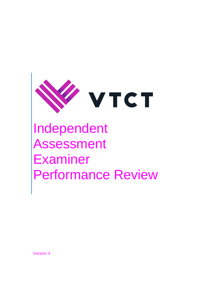

# Independent Assessment Examiner Performance Review

Version 3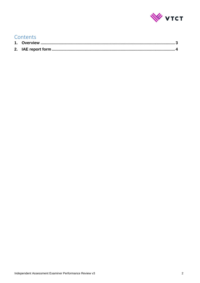

### Contents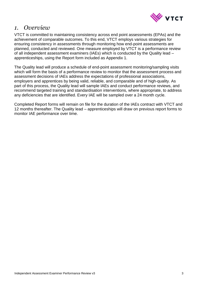

#### <span id="page-2-0"></span>*1. Overview*

VTCT is committed to maintaining consistency across end point assessments (EPAs) and the achievement of comparable outcomes. To this end, VTCT employs various strategies for ensuring consistency in assessments through monitoring how end-point assessments are planned, conducted and reviewed. One measure employed by VTCT is a performance review of all independent assessment examiners (IAEs) which is conducted by the Quality lead – apprenticeships, using the Report form included as Appendix 1.

The Quality lead will produce a schedule of end-point assessment monitoring/sampling visits which will form the basis of a performance review to monitor that the assessment process and assessment decisions of IAEs address the expectations of professional associations, employers and apprentices by being valid, reliable, and comparable and of high-quality. As part of this process, the Quality lead will sample IAEs and conduct performance reviews, and recommend targeted training and standardisation interventions, where appropriate, to address any deficiencies that are identified. Every IAE will be sampled over a 24 month cycle.

Completed Report forms will remain on file for the duration of the IAEs contract with VTCT and 12 months thereafter. The Quality lead – apprenticeships will draw on previous report forms to monitor IAE performance over time.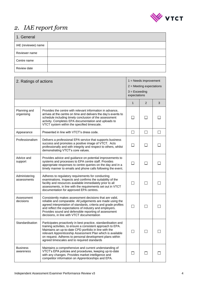

## <span id="page-3-0"></span>*2. IAE report form*

| 1. General          |  |  |
|---------------------|--|--|
| IAE (reviewee) name |  |  |
| Reviewer name       |  |  |
| Centre name         |  |  |
| Review date         |  |  |

| 2. Ratings of actions        |                                                                                                                                                                                                                                                                                                                                                                   |              | $1 =$ Needs improvement<br>$2$ = Meeting expectations<br>$3 = Exceeding$<br>expectations |   |  |
|------------------------------|-------------------------------------------------------------------------------------------------------------------------------------------------------------------------------------------------------------------------------------------------------------------------------------------------------------------------------------------------------------------|--------------|------------------------------------------------------------------------------------------|---|--|
|                              |                                                                                                                                                                                                                                                                                                                                                                   | $\mathbf{1}$ | 2                                                                                        | 3 |  |
| Planning and<br>organising   | Provides the centre with relevant information in advance,<br>arrives at the centre on time and delivers the day's events to<br>schedule including timely conclusion of the assessment<br>activity. Completes EPA documentation and uploads to<br>VTCT system within the specified timescale.                                                                      |              |                                                                                          |   |  |
| Appearance                   | Presented in line with VTCT's dress code.                                                                                                                                                                                                                                                                                                                         | □            | $\Box$                                                                                   |   |  |
| Professionalism              | Delivers a professional EPA service that supports business<br>success and promotes a positive image of VTCT. Acts<br>professionally and with integrity and respect to others, whilst<br>demonstrating VTCT's core values.                                                                                                                                         | $\Box$       | ΙI                                                                                       |   |  |
| Advice and<br>support        | Provides advice and guidance on potential improvements to<br>systems and processes to EPA centre staff. Provides<br>appropriate responses to centre queries on the day and in a<br>timely manner to emails and phone calls following the event.                                                                                                                   | П            | $\mathsf{L}$                                                                             |   |  |
| Administering<br>assessments | Adheres to regulatory requirements for conducting<br>examinations. Inspects and confirms the suitability of the<br>facility and resources available immediately prior to all<br>assessments, in line with the requirements set out in VTCT<br>documentation for approved EPA centres.                                                                             | $\mathsf{L}$ |                                                                                          |   |  |
| Assessment<br>decisions      | Consistently makes assessment decisions that are valid,<br>reliable and comparable. All judgements are made using the<br>agreed interpretation of standards, criteria and grade profiles<br>and reflect the expectations of industry and employers.<br>Provides sound and defensible reporting of assessment<br>decisions, in line with VTCT documentation        |              |                                                                                          |   |  |
| Standardisation              | Participates proactively in best practice, standardisation and<br>training activities, to ensure a consistent approach to EPA.<br>Maintains an up-to-date CPD portfolio in line with the<br>relevant Apprenticeship Assessment Plan which is available<br>on request. Adheres to personal development plans within<br>agreed timescales and to required standards |              |                                                                                          |   |  |
| <b>Business</b><br>awareness | Maintains a comprehensive and current understanding of<br>VTCT's EPA policies and procedures, keeping up-to-date<br>with any changes. Provides market intelligence and<br>competitor information on Apprenticeships and EPA.                                                                                                                                      |              |                                                                                          |   |  |